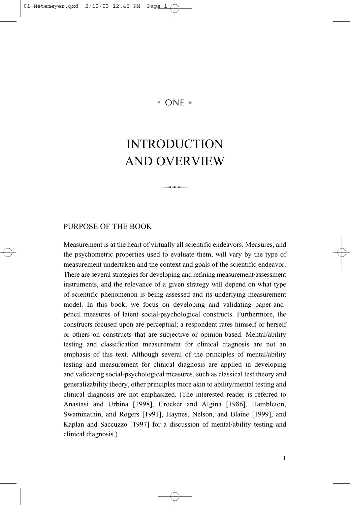# $\parallel$  ONE  $\parallel$

# INTRODUCTION AND OVERVIEW  $\frac{1}{\sqrt{1-\frac{1}{2}}\sqrt{1-\frac{1}{2}}\sqrt{1-\frac{1}{2}}\sqrt{1-\frac{1}{2}}\sqrt{1-\frac{1}{2}}\sqrt{1-\frac{1}{2}}\sqrt{1-\frac{1}{2}}\sqrt{1-\frac{1}{2}}\sqrt{1-\frac{1}{2}}\sqrt{1-\frac{1}{2}}\sqrt{1-\frac{1}{2}}\sqrt{1-\frac{1}{2}}\sqrt{1-\frac{1}{2}}\sqrt{1-\frac{1}{2}}\sqrt{1-\frac{1}{2}}\sqrt{1-\frac{1}{2}}\sqrt{1-\frac{1}{2}}\sqrt{1-\frac{1}{2}}\sqrt{1-\frac{1}{2}}\sqrt{1-\frac$

## PURPOSE OF THE BOOK

Measurement is at the heart of virtually all scientific endeavors. Measures, and the psychometric properties used to evaluate them, will vary by the type of measurement undertaken and the context and goals of the scientific endeavor. There are several strategies for developing and refining measurement/assessment instruments, and the relevance of a given strategy will depend on what type of scientific phenomenon is being assessed and its underlying measurement model. In this book, we focus on developing and validating paper-andpencil measures of latent social-psychological constructs. Furthermore, the constructs focused upon are perceptual; a respondent rates himself or herself or others on constructs that are subjective or opinion-based. Mental/ability testing and classification measurement for clinical diagnosis are not an emphasis of this text. Although several of the principles of mental/ability testing and measurement for clinical diagnosis are applied in developing and validating social-psychological measures, such as classical test theory and generalizability theory, other principles more akin to ability/mental testing and clinical diagnosis are not emphasized. (The interested reader is referred to Anastasi and Urbina [1998], Crocker and Algina [1986], Hambleton, Swaminathin, and Rogers [1991], Haynes, Nelson, and Blaine [1999], and Kaplan and Saccuzzo [1997] for a discussion of mental/ability testing and clinical diagnosis.)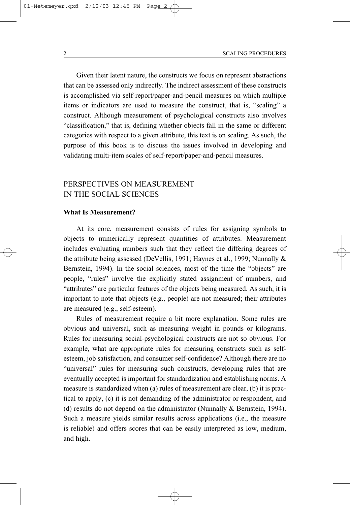Given their latent nature, the constructs we focus on represent abstractions that can be assessed only indirectly. The indirect assessment of these constructs is accomplished via self-report/paper-and-pencil measures on which multiple items or indicators are used to measure the construct, that is, "scaling" a construct. Although measurement of psychological constructs also involves "classification," that is, defining whether objects fall in the same or different categories with respect to a given attribute, this text is on scaling. As such, the purpose of this book is to discuss the issues involved in developing and validating multi-item scales of self-report/paper-and-pencil measures.

# PERSPECTIVES ON MEASUREMENT IN THE SOCIAL SCIENCES

#### **What Is Measurement?**

At its core, measurement consists of rules for assigning symbols to objects to numerically represent quantities of attributes. Measurement includes evaluating numbers such that they reflect the differing degrees of the attribute being assessed (DeVellis, 1991; Haynes et al., 1999; Nunnally & Bernstein, 1994). In the social sciences, most of the time the "objects" are people, "rules" involve the explicitly stated assignment of numbers, and "attributes" are particular features of the objects being measured. As such, it is important to note that objects (e.g., people) are not measured; their attributes are measured (e.g., self-esteem).

Rules of measurement require a bit more explanation. Some rules are obvious and universal, such as measuring weight in pounds or kilograms. Rules for measuring social-psychological constructs are not so obvious. For example, what are appropriate rules for measuring constructs such as selfesteem, job satisfaction, and consumer self-confidence? Although there are no "universal" rules for measuring such constructs, developing rules that are eventually accepted is important for standardization and establishing norms. A measure is standardized when (a) rules of measurement are clear, (b) it is practical to apply, (c) it is not demanding of the administrator or respondent, and (d) results do not depend on the administrator (Nunnally & Bernstein, 1994). Such a measure yields similar results across applications (i.e., the measure is reliable) and offers scores that can be easily interpreted as low, medium, and high.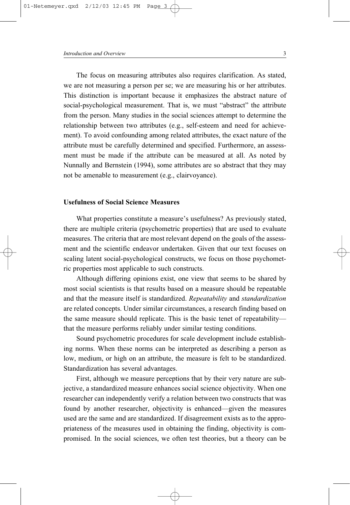The focus on measuring attributes also requires clarification. As stated, we are not measuring a person per se; we are measuring his or her attributes. This distinction is important because it emphasizes the abstract nature of social-psychological measurement. That is, we must "abstract" the attribute from the person. Many studies in the social sciences attempt to determine the relationship between two attributes (e.g., self-esteem and need for achievement). To avoid confounding among related attributes, the exact nature of the attribute must be carefully determined and specified. Furthermore, an assessment must be made if the attribute can be measured at all. As noted by Nunnally and Bernstein (1994), some attributes are so abstract that they may not be amenable to measurement (e.g., clairvoyance).

## **Usefulness of Social Science Measures**

What properties constitute a measure's usefulness? As previously stated, there are multiple criteria (psychometric properties) that are used to evaluate measures. The criteria that are most relevant depend on the goals of the assessment and the scientific endeavor undertaken. Given that our text focuses on scaling latent social-psychological constructs, we focus on those psychometric properties most applicable to such constructs.

Although differing opinions exist, one view that seems to be shared by most social scientists is that results based on a measure should be repeatable and that the measure itself is standardized. *Repeatability* and *standardization* are related concepts. Under similar circumstances, a research finding based on the same measure should replicate. This is the basic tenet of repeatability that the measure performs reliably under similar testing conditions.

Sound psychometric procedures for scale development include establishing norms. When these norms can be interpreted as describing a person as low, medium, or high on an attribute, the measure is felt to be standardized. Standardization has several advantages.

First, although we measure perceptions that by their very nature are subjective, a standardized measure enhances social science objectivity. When one researcher can independently verify a relation between two constructs that was found by another researcher, objectivity is enhanced—given the measures used are the same and are standardized. If disagreement exists as to the appropriateness of the measures used in obtaining the finding, objectivity is compromised. In the social sciences, we often test theories, but a theory can be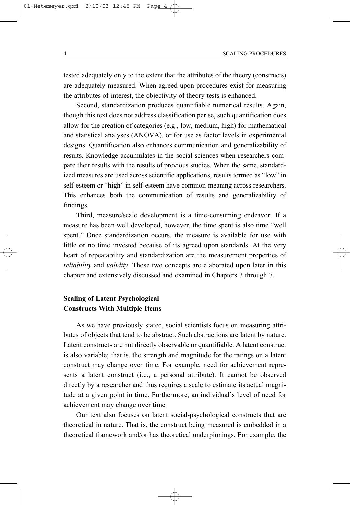tested adequately only to the extent that the attributes of the theory (constructs) are adequately measured. When agreed upon procedures exist for measuring the attributes of interest, the objectivity of theory tests is enhanced.

Second, standardization produces quantifiable numerical results. Again, though this text does not address classification per se, such quantification does allow for the creation of categories (e.g., low, medium, high) for mathematical and statistical analyses (ANOVA), or for use as factor levels in experimental designs. Quantification also enhances communication and generalizability of results. Knowledge accumulates in the social sciences when researchers compare their results with the results of previous studies. When the same, standardized measures are used across scientific applications, results termed as "low" in self-esteem or "high" in self-esteem have common meaning across researchers. This enhances both the communication of results and generalizability of findings.

Third, measure/scale development is a time-consuming endeavor. If a measure has been well developed, however, the time spent is also time "well spent." Once standardization occurs, the measure is available for use with little or no time invested because of its agreed upon standards. At the very heart of repeatability and standardization are the measurement properties of *reliability* and *validity*. These two concepts are elaborated upon later in this chapter and extensively discussed and examined in Chapters 3 through 7.

## **Scaling of Latent Psychological Constructs With Multiple Items**

As we have previously stated, social scientists focus on measuring attributes of objects that tend to be abstract. Such abstractions are latent by nature. Latent constructs are not directly observable or quantifiable. A latent construct is also variable; that is, the strength and magnitude for the ratings on a latent construct may change over time. For example, need for achievement represents a latent construct (i.e., a personal attribute). It cannot be observed directly by a researcher and thus requires a scale to estimate its actual magnitude at a given point in time. Furthermore, an individual's level of need for achievement may change over time.

Our text also focuses on latent social-psychological constructs that are theoretical in nature. That is, the construct being measured is embedded in a theoretical framework and/or has theoretical underpinnings. For example, the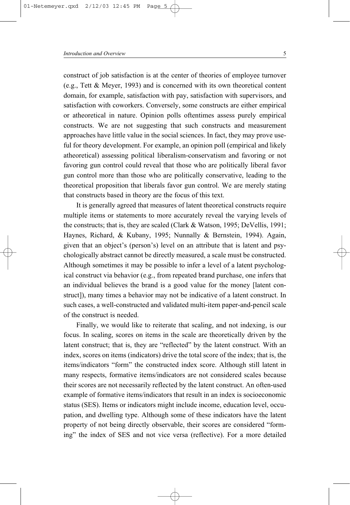construct of job satisfaction is at the center of theories of employee turnover (e.g., Tett & Meyer, 1993) and is concerned with its own theoretical content domain, for example, satisfaction with pay, satisfaction with supervisors, and satisfaction with coworkers. Conversely, some constructs are either empirical or atheoretical in nature. Opinion polls oftentimes assess purely empirical constructs. We are not suggesting that such constructs and measurement approaches have little value in the social sciences. In fact, they may prove useful for theory development. For example, an opinion poll (empirical and likely atheoretical) assessing political liberalism-conservatism and favoring or not favoring gun control could reveal that those who are politically liberal favor gun control more than those who are politically conservative, leading to the theoretical proposition that liberals favor gun control. We are merely stating that constructs based in theory are the focus of this text.

It is generally agreed that measures of latent theoretical constructs require multiple items or statements to more accurately reveal the varying levels of the constructs; that is, they are scaled (Clark & Watson, 1995; DeVellis, 1991; Haynes, Richard, & Kubany, 1995; Nunnally & Bernstein, 1994). Again, given that an object's (person's) level on an attribute that is latent and psychologically abstract cannot be directly measured, a scale must be constructed. Although sometimes it may be possible to infer a level of a latent psychological construct via behavior (e.g., from repeated brand purchase, one infers that an individual believes the brand is a good value for the money [latent construct]), many times a behavior may not be indicative of a latent construct. In such cases, a well-constructed and validated multi-item paper-and-pencil scale of the construct is needed.

Finally, we would like to reiterate that scaling, and not indexing, is our focus. In scaling, scores on items in the scale are theoretically driven by the latent construct; that is, they are "reflected" by the latent construct. With an index, scores on items (indicators) drive the total score of the index; that is, the items/indicators "form" the constructed index score. Although still latent in many respects, formative items/indicators are not considered scales because their scores are not necessarily reflected by the latent construct. An often-used example of formative items/indicators that result in an index is socioeconomic status (SES). Items or indicators might include income, education level, occupation, and dwelling type. Although some of these indicators have the latent property of not being directly observable, their scores are considered "forming" the index of SES and not vice versa (reflective). For a more detailed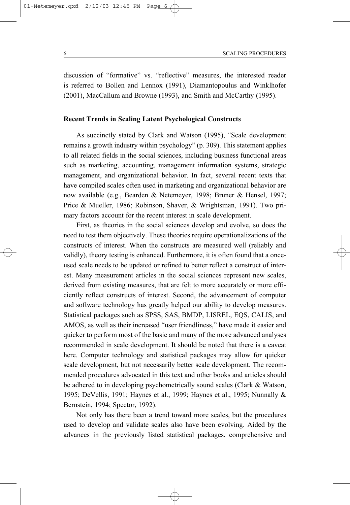discussion of "formative" vs. "reflective" measures, the interested reader is referred to Bollen and Lennox (1991), Diamantopoulus and Winklhofer (2001), MacCallum and Browne (1993), and Smith and McCarthy (1995).

## **Recent Trends in Scaling Latent Psychological Constructs**

As succinctly stated by Clark and Watson (1995), "Scale development remains a growth industry within psychology" (p. 309). This statement applies to all related fields in the social sciences, including business functional areas such as marketing, accounting, management information systems, strategic management, and organizational behavior. In fact, several recent texts that have compiled scales often used in marketing and organizational behavior are now available (e.g., Bearden & Netemeyer, 1998; Bruner & Hensel, 1997; Price & Mueller, 1986; Robinson, Shaver, & Wrightsman, 1991). Two primary factors account for the recent interest in scale development.

First, as theories in the social sciences develop and evolve, so does the need to test them objectively. These theories require operationalizations of the constructs of interest. When the constructs are measured well (reliably and validly), theory testing is enhanced. Furthermore, it is often found that a onceused scale needs to be updated or refined to better reflect a construct of interest. Many measurement articles in the social sciences represent new scales, derived from existing measures, that are felt to more accurately or more efficiently reflect constructs of interest. Second, the advancement of computer and software technology has greatly helped our ability to develop measures. Statistical packages such as SPSS, SAS, BMDP, LISREL, EQS, CALIS, and AMOS, as well as their increased "user friendliness," have made it easier and quicker to perform most of the basic and many of the more advanced analyses recommended in scale development. It should be noted that there is a caveat here. Computer technology and statistical packages may allow for quicker scale development, but not necessarily better scale development. The recommended procedures advocated in this text and other books and articles should be adhered to in developing psychometrically sound scales (Clark & Watson, 1995; DeVellis, 1991; Haynes et al., 1999; Haynes et al., 1995; Nunnally & Bernstein, 1994; Spector, 1992).

Not only has there been a trend toward more scales, but the procedures used to develop and validate scales also have been evolving. Aided by the advances in the previously listed statistical packages, comprehensive and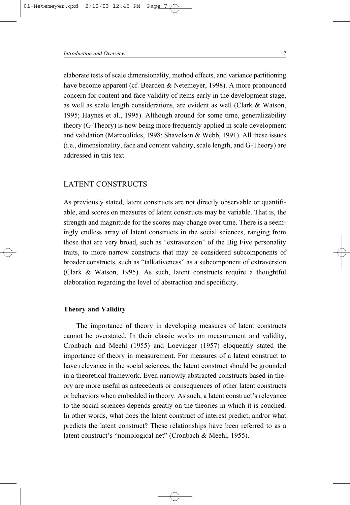elaborate tests of scale dimensionality, method effects, and variance partitioning have become apparent (cf. Bearden & Netemeyer, 1998). A more pronounced concern for content and face validity of items early in the development stage, as well as scale length considerations, are evident as well (Clark & Watson, 1995; Haynes et al., 1995). Although around for some time, generalizability theory (G-Theory) is now being more frequently applied in scale development and validation (Marcoulides, 1998; Shavelson & Webb, 1991). All these issues (i.e., dimensionality, face and content validity, scale length, and G-Theory) are addressed in this text.

## LATENT CONSTRUCTS

As previously stated, latent constructs are not directly observable or quantifiable, and scores on measures of latent constructs may be variable. That is, the strength and magnitude for the scores may change over time. There is a seemingly endless array of latent constructs in the social sciences, ranging from those that are very broad, such as "extraversion" of the Big Five personality traits, to more narrow constructs that may be considered subcomponents of broader constructs, such as "talkativeness" as a subcomponent of extraversion (Clark & Watson, 1995). As such, latent constructs require a thoughtful elaboration regarding the level of abstraction and specificity.

#### **Theory and Validity**

The importance of theory in developing measures of latent constructs cannot be overstated. In their classic works on measurement and validity, Cronbach and Meehl (1955) and Loevinger (1957) eloquently stated the importance of theory in measurement. For measures of a latent construct to have relevance in the social sciences, the latent construct should be grounded in a theoretical framework. Even narrowly abstracted constructs based in theory are more useful as antecedents or consequences of other latent constructs or behaviors when embedded in theory. As such, a latent construct's relevance to the social sciences depends greatly on the theories in which it is couched. In other words, what does the latent construct of interest predict, and/or what predicts the latent construct? These relationships have been referred to as a latent construct's "nomological net" (Cronbach & Meehl, 1955).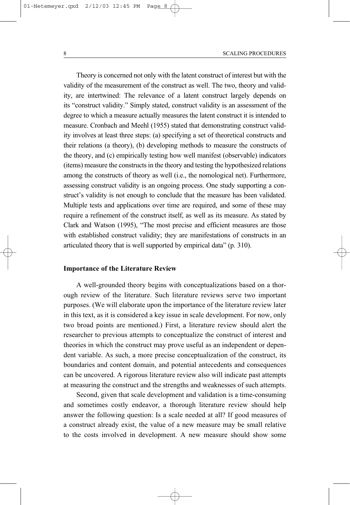Theory is concerned not only with the latent construct of interest but with the validity of the measurement of the construct as well. The two, theory and validity, are intertwined: The relevance of a latent construct largely depends on its "construct validity." Simply stated, construct validity is an assessment of the degree to which a measure actually measures the latent construct it is intended to measure. Cronbach and Meehl (1955) stated that demonstrating construct validity involves at least three steps: (a) specifying a set of theoretical constructs and their relations (a theory), (b) developing methods to measure the constructs of the theory, and (c) empirically testing how well manifest (observable) indicators (items) measure the constructs in the theory and testing the hypothesized relations among the constructs of theory as well (i.e., the nomological net). Furthermore, assessing construct validity is an ongoing process. One study supporting a construct's validity is not enough to conclude that the measure has been validated. Multiple tests and applications over time are required, and some of these may require a refinement of the construct itself, as well as its measure. As stated by Clark and Watson (1995), "The most precise and efficient measures are those with established construct validity; they are manifestations of constructs in an articulated theory that is well supported by empirical data" (p. 310).

#### **Importance of the Literature Review**

A well-grounded theory begins with conceptualizations based on a thorough review of the literature. Such literature reviews serve two important purposes. (We will elaborate upon the importance of the literature review later in this text, as it is considered a key issue in scale development. For now, only two broad points are mentioned.) First, a literature review should alert the researcher to previous attempts to conceptualize the construct of interest and theories in which the construct may prove useful as an independent or dependent variable. As such, a more precise conceptualization of the construct, its boundaries and content domain, and potential antecedents and consequences can be uncovered. A rigorous literature review also will indicate past attempts at measuring the construct and the strengths and weaknesses of such attempts.

Second, given that scale development and validation is a time-consuming and sometimes costly endeavor, a thorough literature review should help answer the following question: Is a scale needed at all? If good measures of a construct already exist, the value of a new measure may be small relative to the costs involved in development. A new measure should show some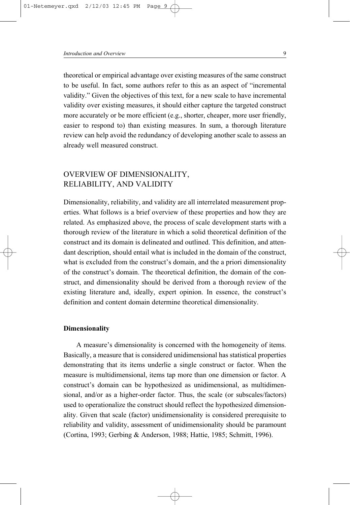theoretical or empirical advantage over existing measures of the same construct to be useful. In fact, some authors refer to this as an aspect of "incremental validity." Given the objectives of this text, for a new scale to have incremental validity over existing measures, it should either capture the targeted construct more accurately or be more efficient (e.g., shorter, cheaper, more user friendly, easier to respond to) than existing measures. In sum, a thorough literature review can help avoid the redundancy of developing another scale to assess an already well measured construct.

# OVERVIEW OF DIMENSIONALITY, RELIABILITY, AND VALIDITY

Dimensionality, reliability, and validity are all interrelated measurement properties. What follows is a brief overview of these properties and how they are related. As emphasized above, the process of scale development starts with a thorough review of the literature in which a solid theoretical definition of the construct and its domain is delineated and outlined. This definition, and attendant description, should entail what is included in the domain of the construct, what is excluded from the construct's domain, and the a priori dimensionality of the construct's domain. The theoretical definition, the domain of the construct, and dimensionality should be derived from a thorough review of the existing literature and, ideally, expert opinion. In essence, the construct's definition and content domain determine theoretical dimensionality.

## **Dimensionality**

A measure's dimensionality is concerned with the homogeneity of items. Basically, a measure that is considered unidimensional has statistical properties demonstrating that its items underlie a single construct or factor. When the measure is multidimensional, items tap more than one dimension or factor. A construct's domain can be hypothesized as unidimensional, as multidimensional, and/or as a higher-order factor. Thus, the scale (or subscales/factors) used to operationalize the construct should reflect the hypothesized dimensionality. Given that scale (factor) unidimensionality is considered prerequisite to reliability and validity, assessment of unidimensionality should be paramount (Cortina, 1993; Gerbing & Anderson, 1988; Hattie, 1985; Schmitt, 1996).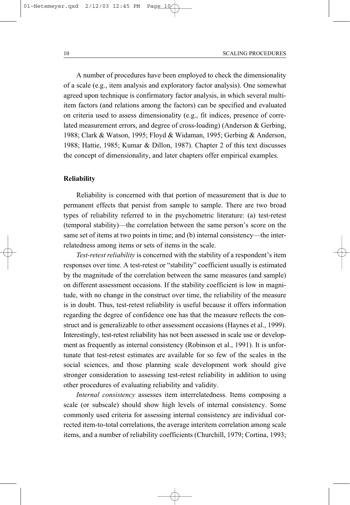A number of procedures have been employed to check the dimensionality of a scale (e.g., item analysis and exploratory factor analysis). One somewhat agreed upon technique is confirmatory factor analysis, in which several multiitem factors (and relations among the factors) can be specified and evaluated on criteria used to assess dimensionality (e.g., fit indices, presence of correlated measurement errors, and degree of cross-loading) (Anderson & Gerbing, 1988; Clark & Watson, 1995; Floyd & Widaman, 1995; Gerbing & Anderson, 1988; Hattie, 1985; Kumar & Dillon, 1987). Chapter 2 of this text discusses the concept of dimensionality, and later chapters offer empirical examples.

## **Reliability**

Reliability is concerned with that portion of measurement that is due to permanent effects that persist from sample to sample. There are two broad types of reliability referred to in the psychometric literature: (a) test-retest (temporal stability)—the correlation between the same person's score on the same set of items at two points in time; and (b) internal consistency—the interrelatedness among items or sets of items in the scale.

*Test-retest reliability* is concerned with the stability of a respondent's item responses over time. A test-retest or "stability" coefficient usually is estimated by the magnitude of the correlation between the same measures (and sample) on different assessment occasions. If the stability coefficient is low in magnitude, with no change in the construct over time, the reliability of the measure is in doubt. Thus, test-retest reliability is useful because it offers information regarding the degree of confidence one has that the measure reflects the construct and is generalizable to other assessment occasions (Haynes et al., 1999). Interestingly, test-retest reliability has not been assessed in scale use or development as frequently as internal consistency (Robinson et al., 1991). It is unfortunate that test-retest estimates are available for so few of the scales in the social sciences, and those planning scale development work should give stronger consideration to assessing test-retest reliability in addition to using other procedures of evaluating reliability and validity.

*Internal consistency* assesses item interrelatedness. Items composing a scale (or subscale) should show high levels of internal consistency. Some commonly used criteria for assessing internal consistency are individual corrected item-to-total correlations, the average interitem correlation among scale items, and a number of reliability coefficients (Churchill, 1979; Cortina, 1993;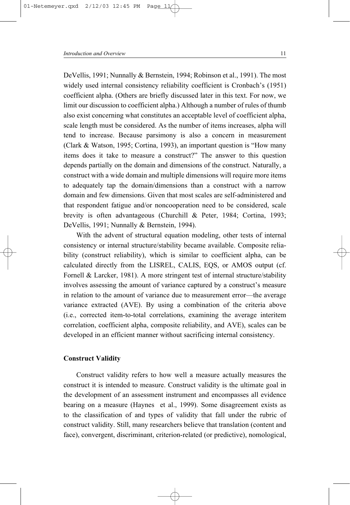DeVellis, 1991; Nunnally & Bernstein, 1994; Robinson et al., 1991). The most widely used internal consistency reliability coefficient is Cronbach's (1951) coefficient alpha. (Others are briefly discussed later in this text. For now, we limit our discussion to coefficient alpha.) Although a number of rules of thumb also exist concerning what constitutes an acceptable level of coefficient alpha, scale length must be considered. As the number of items increases, alpha will tend to increase. Because parsimony is also a concern in measurement (Clark & Watson, 1995; Cortina, 1993), an important question is "How many items does it take to measure a construct?" The answer to this question depends partially on the domain and dimensions of the construct. Naturally, a construct with a wide domain and multiple dimensions will require more items to adequately tap the domain/dimensions than a construct with a narrow domain and few dimensions. Given that most scales are self-administered and that respondent fatigue and/or noncooperation need to be considered, scale brevity is often advantageous (Churchill & Peter, 1984; Cortina, 1993; DeVellis, 1991; Nunnally & Bernstein, 1994).

With the advent of structural equation modeling, other tests of internal consistency or internal structure/stability became available. Composite reliability (construct reliability), which is similar to coefficient alpha, can be calculated directly from the LISREL, CALIS, EQS, or AMOS output (cf. Fornell & Larcker, 1981). A more stringent test of internal structure/stability involves assessing the amount of variance captured by a construct's measure in relation to the amount of variance due to measurement error—the average variance extracted (AVE). By using a combination of the criteria above (i.e., corrected item-to-total correlations, examining the average interitem correlation, coefficient alpha, composite reliability, and AVE), scales can be developed in an efficient manner without sacrificing internal consistency.

## **Construct Validity**

Construct validity refers to how well a measure actually measures the construct it is intended to measure. Construct validity is the ultimate goal in the development of an assessment instrument and encompasses all evidence bearing on a measure (Haynes et al., 1999). Some disagreement exists as to the classification of and types of validity that fall under the rubric of construct validity. Still, many researchers believe that translation (content and face), convergent, discriminant, criterion-related (or predictive), nomological,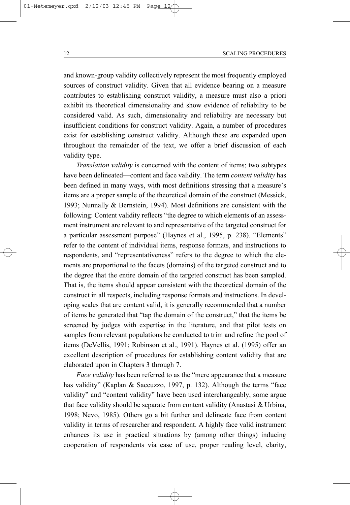and known-group validity collectively represent the most frequently employed sources of construct validity. Given that all evidence bearing on a measure contributes to establishing construct validity, a measure must also a priori exhibit its theoretical dimensionality and show evidence of reliability to be considered valid. As such, dimensionality and reliability are necessary but insufficient conditions for construct validity. Again, a number of procedures exist for establishing construct validity. Although these are expanded upon throughout the remainder of the text, we offer a brief discussion of each validity type.

*Translation validity* is concerned with the content of items; two subtypes have been delineated—content and face validity. The term *content validity* has been defined in many ways, with most definitions stressing that a measure's items are a proper sample of the theoretical domain of the construct (Messick, 1993; Nunnally & Bernstein, 1994). Most definitions are consistent with the following: Content validity reflects "the degree to which elements of an assessment instrument are relevant to and representative of the targeted construct for a particular assessment purpose" (Haynes et al., 1995, p. 238). "Elements" refer to the content of individual items, response formats, and instructions to respondents, and "representativeness" refers to the degree to which the elements are proportional to the facets (domains) of the targeted construct and to the degree that the entire domain of the targeted construct has been sampled. That is, the items should appear consistent with the theoretical domain of the construct in all respects, including response formats and instructions. In developing scales that are content valid, it is generally recommended that a number of items be generated that "tap the domain of the construct," that the items be screened by judges with expertise in the literature, and that pilot tests on samples from relevant populations be conducted to trim and refine the pool of items (DeVellis, 1991; Robinson et al., 1991). Haynes et al. (1995) offer an excellent description of procedures for establishing content validity that are elaborated upon in Chapters 3 through 7.

*Face validity* has been referred to as the "mere appearance that a measure has validity" (Kaplan & Saccuzzo, 1997, p. 132). Although the terms "face validity" and "content validity" have been used interchangeably, some argue that face validity should be separate from content validity (Anastasi & Urbina, 1998; Nevo, 1985). Others go a bit further and delineate face from content validity in terms of researcher and respondent. A highly face valid instrument enhances its use in practical situations by (among other things) inducing cooperation of respondents via ease of use, proper reading level, clarity,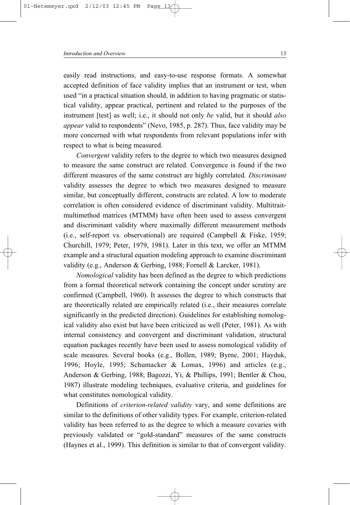easily read instructions, and easy-to-use response formats. A somewhat accepted definition of face validity implies that an instrument or test, when used "in a practical situation should, in addition to having pragmatic or statistical validity, appear practical, pertinent and related to the purposes of the instrument [test] as well; i.e., it should not only *be* valid, but it should *also appear* valid to respondents" (Nevo, 1985, p. 287). Thus, face validity may be more concerned with what respondents from relevant populations infer with respect to what is being measured.

*Convergent* validity refers to the degree to which two measures designed to measure the same construct are related. Convergence is found if the two different measures of the same construct are highly correlated. *Discriminant* validity assesses the degree to which two measures designed to measure similar, but conceptually different, constructs are related. A low to moderate correlation is often considered evidence of discriminant validity. Multitraitmultimethod matrices (MTMM) have often been used to assess convergent and discriminant validity where maximally different measurement methods (i.e., self-report vs. observational) are required (Campbell & Fiske, 1959; Churchill, 1979; Peter, 1979, 1981). Later in this text, we offer an MTMM example and a structural equation modeling approach to examine discriminant validity (e.g., Anderson & Gerbing, 1988; Fornell & Larcker, 1981).

*Nomological* validity has been defined as the degree to which predictions from a formal theoretical network containing the concept under scrutiny are confirmed (Campbell, 1960). It assesses the degree to which constructs that are theoretically related are empirically related (i.e., their measures correlate significantly in the predicted direction). Guidelines for establishing nomological validity also exist but have been criticized as well (Peter, 1981). As with internal consistency and convergent and discriminant validation, structural equation packages recently have been used to assess nomological validity of scale measures. Several books (e.g., Bollen, 1989; Byrne, 2001; Hayduk, 1996; Hoyle, 1995; Schumacker & Lomax, 1996) and articles (e.g., Anderson & Gerbing, 1988; Bagozzi, Yi, & Phillips, 1991; Bentler & Chou, 1987) illustrate modeling techniques, evaluative criteria, and guidelines for what constitutes nomological validity.

Definitions of *criterion-related validity* vary, and some definitions are similar to the definitions of other validity types. For example, criterion-related validity has been referred to as the degree to which a measure covaries with previously validated or "gold-standard" measures of the same constructs (Haynes et al., 1999). This definition is similar to that of convergent validity.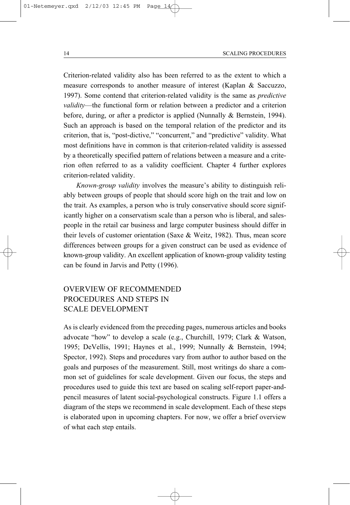Criterion-related validity also has been referred to as the extent to which a measure corresponds to another measure of interest (Kaplan & Saccuzzo, 1997). Some contend that criterion-related validity is the same as *predictive validity*—the functional form or relation between a predictor and a criterion before, during, or after a predictor is applied (Nunnally & Bernstein, 1994). Such an approach is based on the temporal relation of the predictor and its criterion, that is, "post-dictive," "concurrent," and "predictive" validity. What most definitions have in common is that criterion-related validity is assessed by a theoretically specified pattern of relations between a measure and a criterion often referred to as a validity coefficient. Chapter 4 further explores criterion-related validity.

*Known-group validity* involves the measure's ability to distinguish reliably between groups of people that should score high on the trait and low on the trait. As examples, a person who is truly conservative should score significantly higher on a conservatism scale than a person who is liberal, and salespeople in the retail car business and large computer business should differ in their levels of customer orientation (Saxe & Weitz, 1982). Thus, mean score differences between groups for a given construct can be used as evidence of known-group validity. An excellent application of known-group validity testing can be found in Jarvis and Petty (1996).

# OVERVIEW OF RECOMMENDED PROCEDURES AND STEPS IN SCALE DEVELOPMENT

As is clearly evidenced from the preceding pages, numerous articles and books advocate "how" to develop a scale (e.g., Churchill, 1979; Clark & Watson, 1995; DeVellis, 1991; Haynes et al., 1999; Nunnally & Bernstein, 1994; Spector, 1992). Steps and procedures vary from author to author based on the goals and purposes of the measurement. Still, most writings do share a common set of guidelines for scale development. Given our focus, the steps and procedures used to guide this text are based on scaling self-report paper-andpencil measures of latent social-psychological constructs. Figure 1.1 offers a diagram of the steps we recommend in scale development. Each of these steps is elaborated upon in upcoming chapters. For now, we offer a brief overview of what each step entails.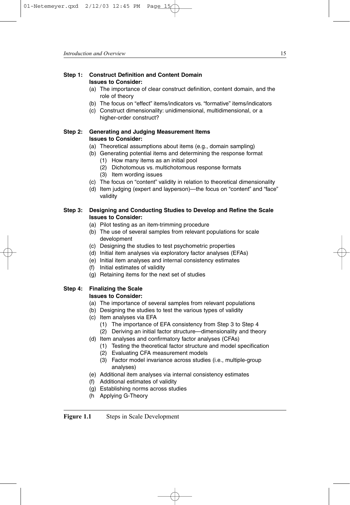#### **Step 1: Construct Definition and Content Domain Issues to Consider:**

- (a) The importance of clear construct definition, content domain, and the role of theory
- (b) The focus on "effect" items/indicators vs. "formative" items/indicators
- (c) Construct dimensionality: unidimensional, multidimensional, or a higher-order construct?

## **Step 2: Generating and Judging Measurement Items Issues to Consider:**

- (a) Theoretical assumptions about items (e.g., domain sampling)
- (b) Generating potential items and determining the response format
	- (1) How many items as an initial pool
	- (2) Dichotomous vs. multichotomous response formats
	- (3) Item wording issues
- (c) The focus on "content" validity in relation to theoretical dimensionality
- (d) Item judging (expert and layperson)—the focus on "content" and "face" validity

#### **Step 3: Designing and Conducting Studies to Develop and Refine the Scale Issues to Consider:**

- (a) Pilot testing as an item-trimming procedure
- (b) The use of several samples from relevant populations for scale development
- (c) Designing the studies to test psychometric properties
- (d) Initial item analyses via exploratory factor analyses (EFAs)
- (e) Initial item analyses and internal consistency estimates
- (f) Initial estimates of validity
- (g) Retaining items for the next set of studies

#### **Step 4: Finalizing the Scale**

#### **Issues to Consider:**

- (a) The importance of several samples from relevant populations
- (b) Designing the studies to test the various types of validity
- (c) Item analyses via EFA
	- (1) The importance of EFA consistency from Step 3 to Step 4
	- (2) Deriving an initial factor structure—dimensionality and theory
- (d) Item analyses and confirmatory factor analyses (CFAs)
	- (1) Testing the theoretical factor structure and model specification
	- (2) Evaluating CFA measurement models
	- (3) Factor model invariance across studies (i.e., multiple-group analyses)
- (e) Additional item analyses via internal consistency estimates
- (f) Additional estimates of validity
- (g) Establishing norms across studies
- (h Applying G-Theory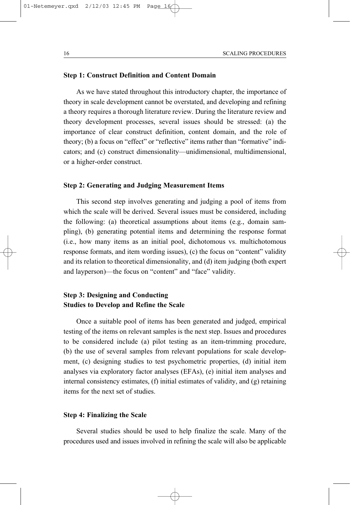#### **Step 1: Construct Definition and Content Domain**

As we have stated throughout this introductory chapter, the importance of theory in scale development cannot be overstated, and developing and refining a theory requires a thorough literature review. During the literature review and theory development processes, several issues should be stressed: (a) the importance of clear construct definition, content domain, and the role of theory; (b) a focus on "effect" or "reflective" items rather than "formative" indicators; and (c) construct dimensionality—unidimensional, multidimensional, or a higher-order construct.

## **Step 2: Generating and Judging Measurement Items**

This second step involves generating and judging a pool of items from which the scale will be derived. Several issues must be considered, including the following: (a) theoretical assumptions about items (e.g., domain sampling), (b) generating potential items and determining the response format (i.e., how many items as an initial pool, dichotomous vs. multichotomous response formats, and item wording issues), (c) the focus on "content" validity and its relation to theoretical dimensionality, and (d) item judging (both expert and layperson)—the focus on "content" and "face" validity.

# **Step 3: Designing and Conducting Studies to Develop and Refine the Scale**

Once a suitable pool of items has been generated and judged, empirical testing of the items on relevant samples is the next step. Issues and procedures to be considered include (a) pilot testing as an item-trimming procedure, (b) the use of several samples from relevant populations for scale development, (c) designing studies to test psychometric properties, (d) initial item analyses via exploratory factor analyses (EFAs), (e) initial item analyses and internal consistency estimates, (f) initial estimates of validity, and (g) retaining items for the next set of studies.

## **Step 4: Finalizing the Scale**

Several studies should be used to help finalize the scale. Many of the procedures used and issues involved in refining the scale will also be applicable